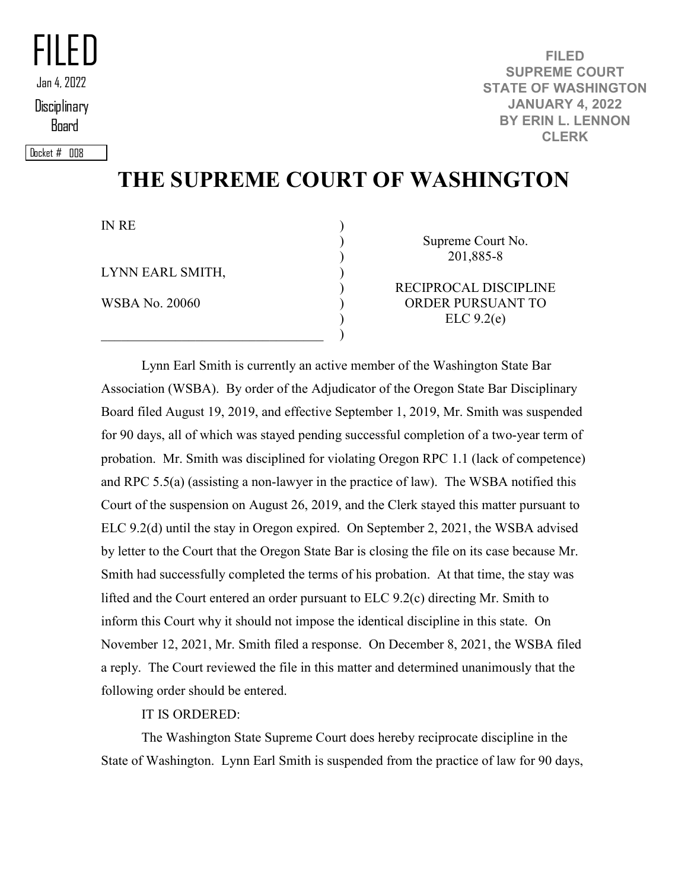FILED **Disciplinary** Board Jan 4, 2022

Docket # 008

**FILED SUPREME COURT STATE OF WASHINGTON JANUARY 4, 2022 BY ERIN L. LENNON CLERK**

## **THE SUPREME COURT OF WASHINGTON**

) ) ) ) ) ) ) )

IN RE

LYNN EARL SMITH,

WSBA No. 20060

Supreme Court No. 201,885-8

RECIPROCAL DISCIPLINE ORDER PURSUANT TO ELC 9.2(e)

Lynn Earl Smith is currently an active member of the Washington State Bar Association (WSBA). By order of the Adjudicator of the Oregon State Bar Disciplinary Board filed August 19, 2019, and effective September 1, 2019, Mr. Smith was suspended for 90 days, all of which was stayed pending successful completion of a two-year term of probation. Mr. Smith was disciplined for violating Oregon RPC 1.1 (lack of competence) and RPC 5.5(a) (assisting a non-lawyer in the practice of law). The WSBA notified this Court of the suspension on August 26, 2019, and the Clerk stayed this matter pursuant to ELC 9.2(d) until the stay in Oregon expired. On September 2, 2021, the WSBA advised by letter to the Court that the Oregon State Bar is closing the file on its case because Mr. Smith had successfully completed the terms of his probation. At that time, the stay was lifted and the Court entered an order pursuant to ELC 9.2(c) directing Mr. Smith to inform this Court why it should not impose the identical discipline in this state. On November 12, 2021, Mr. Smith filed a response. On December 8, 2021, the WSBA filed a reply. The Court reviewed the file in this matter and determined unanimously that the following order should be entered.

IT IS ORDERED:

The Washington State Supreme Court does hereby reciprocate discipline in the State of Washington. Lynn Earl Smith is suspended from the practice of law for 90 days,